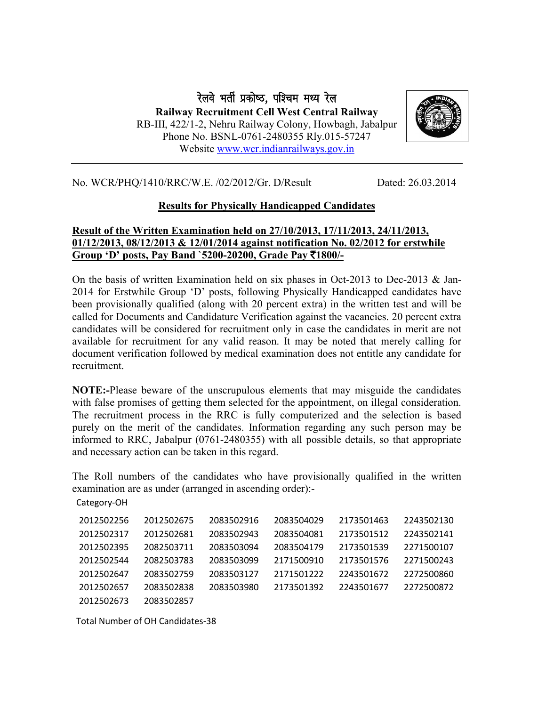रेलवे भर्ती प्रकोष्ठ, पश्चिम मध्य रेल Railway Recruitment Cell West Central Railway RB-III, 422/1-2, Nehru Railway Colony, Howbagh, Jabalpur Phone No. BSNL-0761-2480355 Rly.015-57247 Website [www.wcr.indianrailways.gov.in](http://www.wcr.indianrailways.gov.in/)



No. WCR/PHQ/1410/RRC/W.E. /02/2012/Gr. D/Result Dated: 26.03.2014

## Results for Physically Handicapped Candidates

## Result of the Written Examination held on 27/10/2013, 17/11/2013, 24/11/2013, 01/12/2013, 08/12/2013 & 12/01/2014 against notification No. 02/2012 for erstwhile Group 'D' posts, Pay Band `5200-20200, Grade Pay ₹1800/-

On the basis of written Examination held on six phases in Oct-2013 to Dec-2013  $\&$  Jan-2014 for Erstwhile Group 'D' posts, following Physically Handicapped candidates have been provisionally qualified (along with 20 percent extra) in the written test and will be called for Documents and Candidature Verification against the vacancies. 20 percent extra candidates will be considered for recruitment only in case the candidates in merit are not available for recruitment for any valid reason. It may be noted that merely calling for document verification followed by medical examination does not entitle any candidate for recruitment.

NOTE:-Please beware of the unscrupulous elements that may misguide the candidates with false promises of getting them selected for the appointment, on illegal consideration. The recruitment process in the RRC is fully computerized and the selection is based purely on the merit of the candidates. Information regarding any such person may be informed to RRC, Jabalpur (0761-2480355) with all possible details, so that appropriate and necessary action can be taken in this regard.

The Roll numbers of the candidates who have provisionally qualified in the written examination are as under (arranged in ascending order):-

Category-OH

| 2012502256 | 2012502675 | 2083502916 | 2083504029 | 2173501463 | 2243502130 |
|------------|------------|------------|------------|------------|------------|
| 2012502317 | 2012502681 | 2083502943 | 2083504081 | 2173501512 | 2243502141 |
| 2012502395 | 2082503711 | 2083503094 | 2083504179 | 2173501539 | 2271500107 |
| 2012502544 | 2082503783 | 2083503099 | 2171500910 | 2173501576 | 2271500243 |
| 2012502647 | 2083502759 | 2083503127 | 2171501222 | 2243501672 | 2272500860 |
| 2012502657 | 2083502838 | 2083503980 | 2173501392 | 2243501677 | 2272500872 |
| 2012502673 | 2083502857 |            |            |            |            |

Total Number of OH Candidates-38